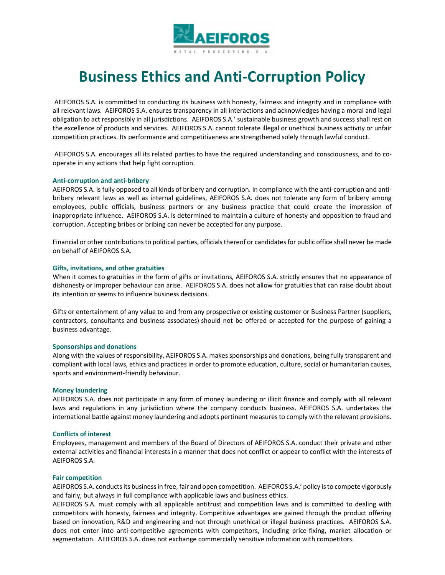

# **Business Ethics and Anti-Corruption Policy**

 AEIFOROS S.A. is committed to conducting its business with honesty, fairness and integrity and in compliance with all relevant laws. AEIFOROS S.A. ensures transparency in all interactions and acknowledges having a moral and legal obligation to act responsibly in all jurisdictions. AEIFOROS S.A.' sustainable business growth and success shall rest on the excellence of products and services. AEIFOROS S.A. cannot tolerate illegal or unethical business activity or unfair competition practices. Its performance and competitiveness are strengthened solely through lawful conduct.

 AEIFOROS S.A. encourages all its related parties to have the required understanding and consciousness, and to cooperate in any actions that help fight corruption.

#### **Anti-corruption and anti-bribery**

AEIFOROS S.A. is fully opposed to all kinds of bribery and corruption. In compliance with the anti-corruption and antibribery relevant laws as well as internal guidelines, AEIFOROS S.A. does not tolerate any form of bribery among employees, public officials, business partners or any business practice that could create the impression of inappropriate influence. AEIFOROS S.A. is determined to maintain a culture of honesty and opposition to fraud and corruption. Accepting bribes or bribing can never be accepted for any purpose.

Financial or other contributions to political parties, officials thereof or candidates for public office shall never be made on behalf of AEIFOROS S.A.

#### **Gifts, invitations, and other gratuities**

When it comes to gratuities in the form of gifts or invitations, AEIFOROS S.A. strictly ensures that no appearance of dishonesty or improper behaviour can arise. AEIFOROS S.A. does not allow for gratuities that can raise doubt about its intention or seems to influence business decisions.

Gifts or entertainment of any value to and from any prospective or existing customer or Business Partner (suppliers, contractors, consultants and business associates) should not be offered or accepted for the purpose of gaining a business advantage.

#### **Sponsorships and donations**

Along with the values of responsibility, AEIFOROS S.A. makes sponsorships and donations, being fully transparent and compliant with local laws, ethics and practices in order to promote education, culture, social or humanitarian causes, sports and environment-friendly behaviour.

#### **Money laundering**

AEIFOROS S.A. does not participate in any form of money laundering or illicit finance and comply with all relevant laws and regulations in any jurisdiction where the company conducts business. AEIFOROS S.A. undertakes the international battle against money laundering and adopts pertinent measures to comply with the relevant provisions.

#### **Conflicts of interest**

Employees, management and members of the Board of Directors of AEIFOROS S.A. conduct their private and other external activities and financial interests in a manner that does not conflict or appear to conflict with the interests of AEIFOROS S.A.

## **Fair competition**

AEIFOROS S.A. conducts its business in free, fair and open competition. AEIFOROS S.A.' policy is to compete vigorously and fairly, but always in full compliance with applicable laws and business ethics.

AEIFOROS S.A. must comply with all applicable antitrust and competition laws and is committed to dealing with competitors with honesty, fairness and integrity. Competitive advantages are gained through the product offering based on innovation, R&D and engineering and not through unethical or illegal business practices. AEIFOROS S.A. does not enter into anti-competitive agreements with competitors, including price-fixing, market allocation or segmentation. AEIFOROS S.A. does not exchange commercially sensitive information with competitors.